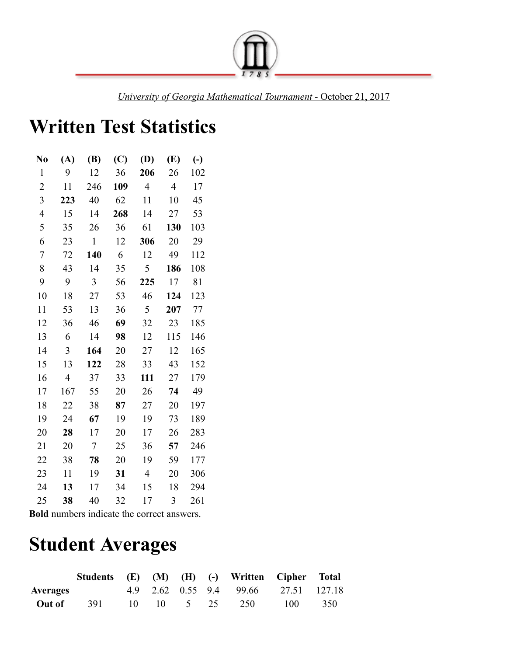

*University of Georgia Mathematical Tournament* - October 21, 2017

## **Written Test Statistics**

| No             | (A)            | <b>(B)</b>   | $\left(\mathrm{C}\right)$ | (D)            | (E)            | $\left( -\right)$ |
|----------------|----------------|--------------|---------------------------|----------------|----------------|-------------------|
| $\mathbf{1}$   | 9              | 12           | 36                        | 206            | 26             | 102               |
| $\overline{2}$ | 11             | 246          | 109                       | $\overline{4}$ | $\overline{4}$ | 17                |
| 3              | 223            | 40           | 62                        | 11             | 10             | 45                |
| $\overline{4}$ | 15             | 14           | 268                       | 14             | 27             | 53                |
| 5              | 35             | 26           | 36                        | 61             | 130            | 103               |
| 6              | 23             | $\mathbf{1}$ | 12                        | 306            | 20             | 29                |
| 7              | 72             | 140          | 6                         | 12             | 49             | 112               |
| 8              | 43             | 14           | 35                        | 5              | 186            | 108               |
| 9              | 9              | 3            | 56                        | 225            | 17             | 81                |
| 10             | 18             | 27           | 53                        | 46             | 124            | 123               |
| 11             | 53             | 13           | 36                        | 5              | 207            | 77                |
| 12             | 36             | 46           | 69                        | 32             | 23             | 185               |
| 13             | 6              | 14           | 98                        | 12             | 115            | 146               |
| 14             | 3              | 164          | 20                        | 27             | 12             | 165               |
| 15             | 13             | 122          | 28                        | 33             | 43             | 152               |
| 16             | $\overline{4}$ | 37           | 33                        | 111            | 27             | 179               |
| 17             | 167            | 55           | 20                        | 26             | 74             | 49                |
| 18             | 22             | 38           | 87                        | 27             | 20             | 197               |
| 19             | 24             | 67           | 19                        | 19             | 73             | 189               |
| 20             | 28             | 17           | 20                        | 17             | 26             | 283               |
| 21             | 20             | 7            | 25                        | 36             | 57             | 246               |
| 22             | 38             | 78           | 20                        | 19             | 59             | 177               |
| 23             | 11             | 19           | 31                        | $\overline{4}$ | 20             | 306               |
| 24             | 13             | 17           | 34                        | 15             | 18             | 294               |
| 25             | 38             | 40           | 32                        | 17             | 3              | 261               |

**Bold** numbers indicate the correct answers.

## **Student Averages**

|                 | Students (E) (M) (H) (-) Written Cipher Total |                       |  |                                      |     |     |
|-----------------|-----------------------------------------------|-----------------------|--|--------------------------------------|-----|-----|
| <b>Averages</b> |                                               |                       |  | 4.9 2.62 0.55 9.4 99.66 27.51 127.18 |     |     |
| Out of          | 391                                           | $10 \t 10 \t 5 \t 25$ |  | 250                                  | 100 | 350 |